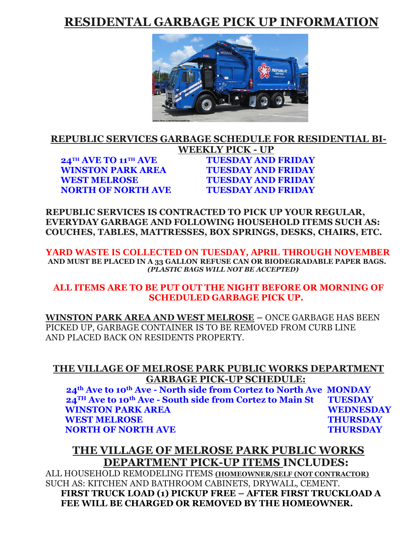# **RESIDENTAL GARBAGE PICK UP INFORMATION**



#### **REPUBLIC SERVICES GARBAGE SCHEDULE FOR RESIDENTIAL BI-WEEKLY PICK - UP 24TH AVE TO 11TH AVE TUESDAY AND FRIDAY WINSTON PARK AREA TUESDAY AND FRIDAY**

**WEST MELROSE TUESDAY AND FRIDAY NORTH OF NORTH AVE TUESDAY AND FRIDAY**

**REPUBLIC SERVICES IS CONTRACTED TO PICK UP YOUR REGULAR, EVERYDAY GARBAGE AND FOLLOWING HOUSEHOLD ITEMS SUCH AS: COUCHES, TABLES, MATTRESSES, BOX SPRINGS, DESKS, CHAIRS, ETC.**

**YARD WASTE IS COLLECTED ON TUESDAY, APRIL THROUGH NOVEMBER AND MUST BE PLACED IN A 33 GALLON REFUSE CAN OR BIODEGRADABLE PAPER BAGS.**  *(PLASTIC BAGS WILL NOT BE ACCEPTED)*

#### **ALL ITEMS ARE TO BE PUT OUT THE NIGHT BEFORE OR MORNING OF SCHEDULED GARBAGE PICK UP.**

**WINSTON PARK AREA AND WEST MELROSE –** ONCE GARBAGE HAS BEEN PICKED UP, GARBAGE CONTAINER IS TO BE REMOVED FROM CURB LINE AND PLACED BACK ON RESIDENTS PROPERTY.

### **THE VILLAGE OF MELROSE PARK PUBLIC WORKS DEPARTMENT GARBAGE PICK-UP SCHEDULE:**

**24th Ave to 10th Ave - North side from Cortez to North Ave MONDAY 24TH Ave to 10th Ave - South side from Cortez to Main St TUESDAY WINSTON PARK AREA WEDNESDAY WEST MELROSE THURSDAY NORTH OF NORTH AVE THURSDAY** 

## **THE VILLAGE OF MELROSE PARK PUBLIC WORKS DEPARTMENT PICK-UP ITEMS INCLUDES:**

ALL HOUSEHOLD REMODELING ITEMS **(HOMEOWNER/SELF (NOT CONTRACTOR)** SUCH AS: KITCHEN AND BATHROOM CABINETS, DRYWALL, CEMENT. **FIRST TRUCK LOAD (1) PICKUP FREE – AFTER FIRST TRUCKLOAD A FEE WILL BE CHARGED OR REMOVED BY THE HOMEOWNER.**